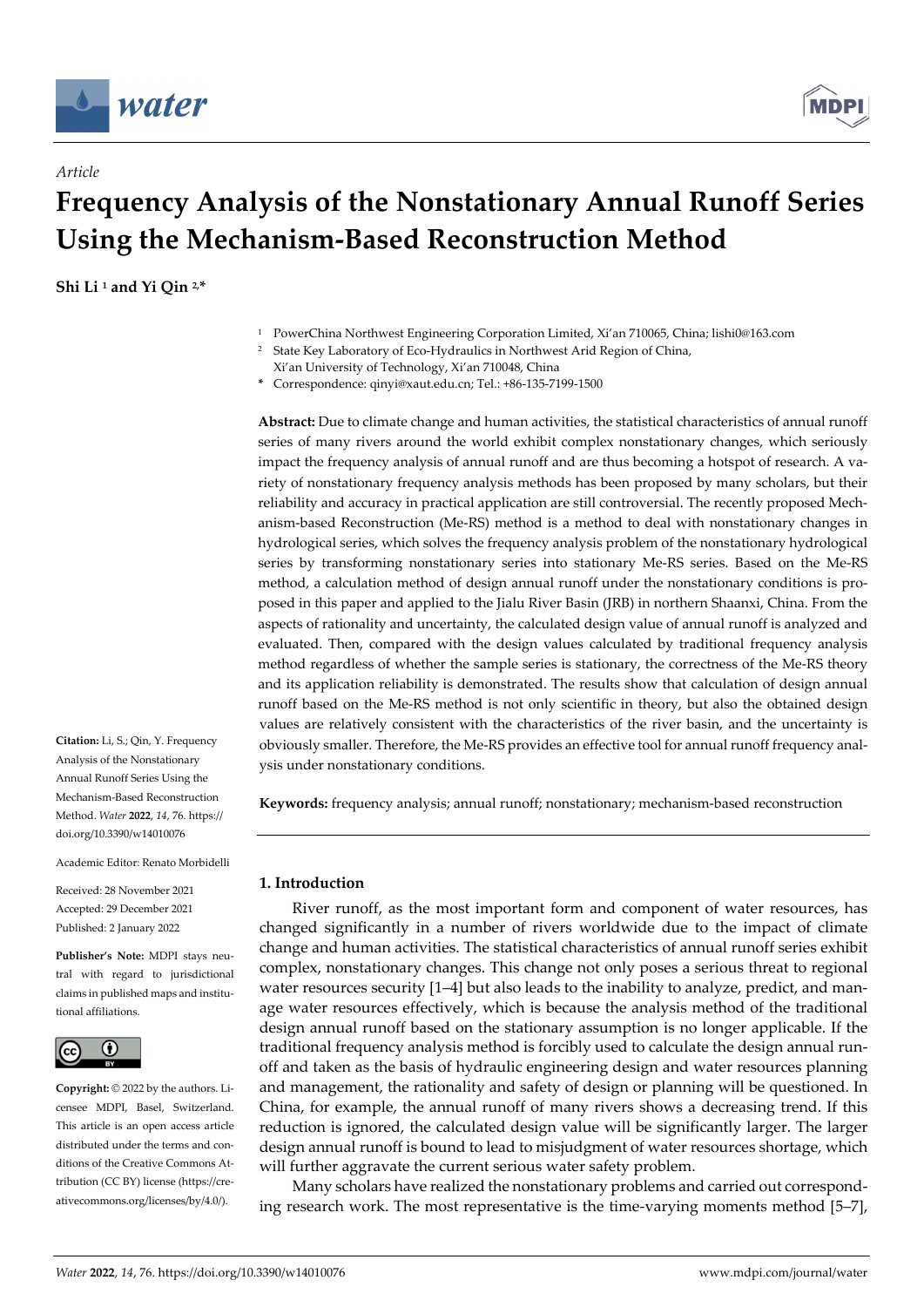

*Article*



# **Frequency Analysis of the Nonstationary Annual Runoff Series Using the Mechanism‐Based Reconstruction Method**

**Shi Li <sup>1</sup> and Yi Qin 2,\***

- <sup>1</sup> PowerChina Northwest Engineering Corporation Limited, Xi'an 710065, China; lishi0@163.com
- <sup>2</sup> State Key Laboratory of Eco-Hydraulics in Northwest Arid Region of China,
- Xi'an University of Technology, Xi'an 710048, China **\*** Correspondence: qinyi@xaut.edu.cn; Tel.: +86‐135‐7199‐1500

**Abstract:** Due to climate change and human activities, the statistical characteristics of annual runoff series of many rivers around the world exhibit complex nonstationary changes, which seriously impact the frequency analysis of annual runoff and are thus becoming a hotspot of research. A variety of nonstationary frequency analysis methods has been proposed by many scholars, but their reliability and accuracy in practical application are still controversial. The recently proposed Mech‐ anism‐based Reconstruction (Me‐RS) method is a method to deal with nonstationary changes in hydrological series, which solves the frequency analysis problem of the nonstationary hydrological series by transforming nonstationary series into stationary Me‐RS series. Based on the Me‐RS method, a calculation method of design annual runoff under the nonstationary conditions is proposed in this paper and applied to the Jialu River Basin (JRB) in northern Shaanxi, China. From the aspects of rationality and uncertainty, the calculated design value of annual runoff is analyzed and evaluated. Then, compared with the design values calculated by traditional frequency analysis method regardless of whether the sample series is stationary, the correctness of the Me‐RS theory and its application reliability is demonstrated. The results show that calculation of design annual runoff based on the Me‐RS method is not only scientific in theory, but also the obtained design values are relatively consistent with the characteristics of the river basin, and the uncertainty is obviously smaller. Therefore, the Me‐RS provides an effective tool for annual runoff frequency anal‐ ysis under nonstationary conditions.

**Keywords:** frequency analysis; annual runoff; nonstationary; mechanism‐based reconstruction

# **1. Introduction**

River runoff, as the most important form and component of water resources, has changed significantly in a number of rivers worldwide due to the impact of climate change and human activities. The statistical characteristics of annual runoff series exhibit complex, nonstationary changes. This change not only poses a serious threat to regional water resources security [1–4] but also leads to the inability to analyze, predict, and manage water resources effectively, which is because the analysis method of the traditional design annual runoff based on the stationary assumption is no longer applicable. If the traditional frequency analysis method is forcibly used to calculate the design annual run‐ off and taken as the basis of hydraulic engineering design and water resources planning and management, the rationality and safety of design or planning will be questioned. In China, for example, the annual runoff of many rivers shows a decreasing trend. If this reduction is ignored, the calculated design value will be significantly larger. The larger design annual runoff is bound to lead to misjudgment of water resources shortage, which will further aggravate the current serious water safety problem.

Many scholars have realized the nonstationary problems and carried out correspond‐ ing research work. The most representative is the time‐varying moments method [5–7],

**Citation:** Li, S.; Qin, Y. Frequency Analysis of the Nonstationary Annual Runoff Series Using the Mechanism‐Based Reconstruction Method. *Water* **2022**, *14*, 76. https:// doi.org/10.3390/w14010076

Academic Editor: Renato Morbidelli

Received: 28 November 2021 Accepted: 29 December 2021 Published: 2 January 2022

**Publisher's Note:** MDPI stays neu‐ tral with regard to jurisdictional claims in published maps and institu‐ tional affiliations.



**Copyright:** © 2022 by the authors. Li‐ censee MDPI, Basel, Switzerland. This article is an open access article distributed under the terms and conditions of the Creative Commons At‐ tribution (CC BY) license (https://cre‐ ativecommons.org/licenses/by/4.0/).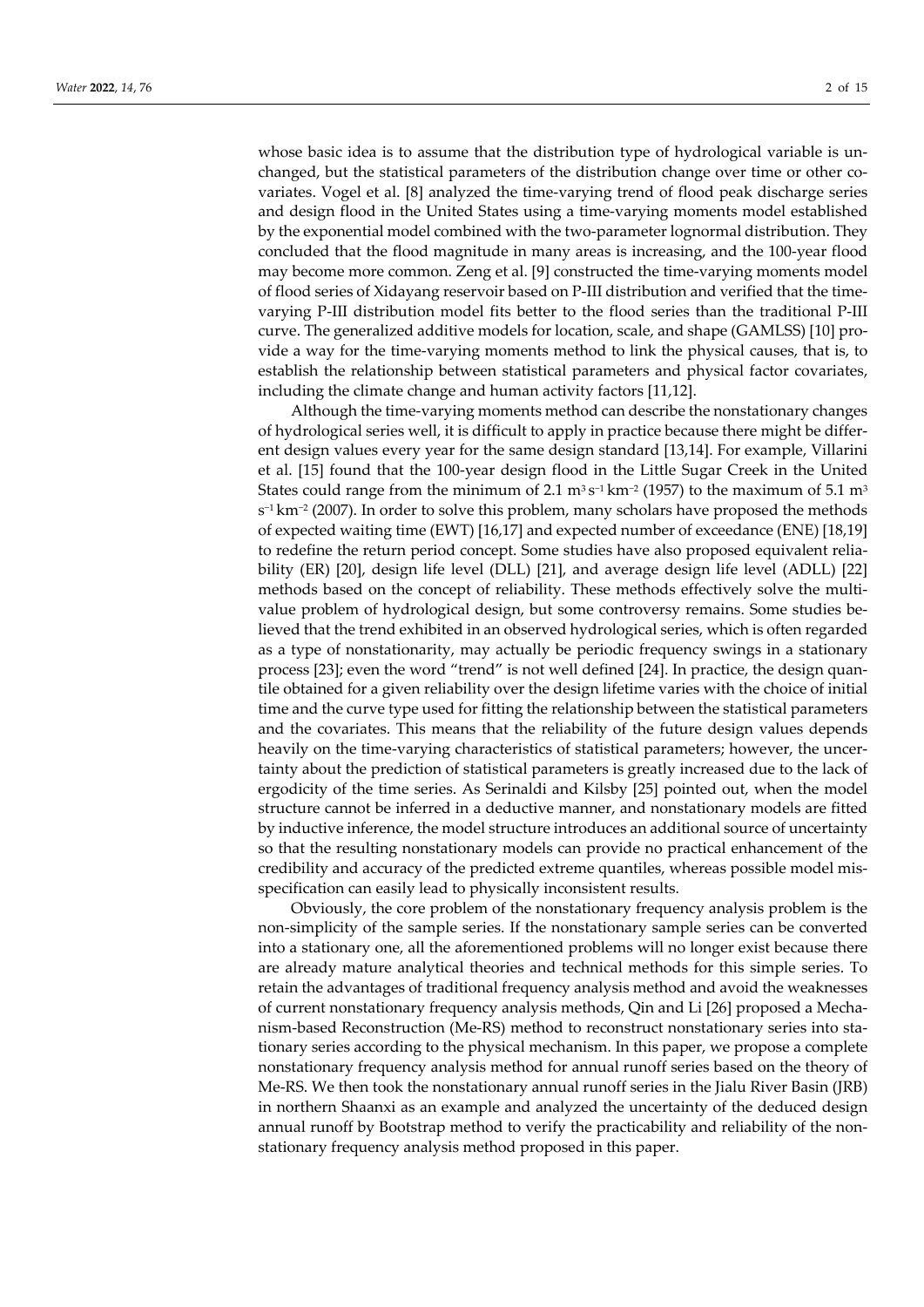whose basic idea is to assume that the distribution type of hydrological variable is unchanged, but the statistical parameters of the distribution change over time or other covariates. Vogel et al. [8] analyzed the time‐varying trend of flood peak discharge series and design flood in the United States using a time‐varying moments model established by the exponential model combined with the two-parameter lognormal distribution. They concluded that the flood magnitude in many areas is increasing, and the 100‐year flood may become more common. Zeng et al. [9] constructed the time‐varying moments model of flood series of Xidayang reservoir based on P‐III distribution and verified that the time‐ varying P‐III distribution model fits better to the flood series than the traditional P‐III curve. The generalized additive models for location, scale, and shape (GAMLSS) [10] pro‐ vide a way for the time‐varying moments method to link the physical causes, that is, to establish the relationship between statistical parameters and physical factor covariates, including the climate change and human activity factors [11,12].

Although the time‐varying moments method can describe the nonstationary changes of hydrological series well, it is difficult to apply in practice because there might be differ‐ ent design values every year for the same design standard [13,14]. For example, Villarini et al. [15] found that the 100‐year design flood in the Little Sugar Creek in the United States could range from the minimum of 2.1 m<sup>3</sup> s<sup>-1</sup> km<sup>-2</sup> (1957) to the maximum of 5.1 m<sup>3</sup> s<sup>-1</sup> km<sup>-2</sup> (2007). In order to solve this problem, many scholars have proposed the methods of expected waiting time (EWT) [16,17] and expected number of exceedance (ENE) [18,19] to redefine the return period concept. Some studies have also proposed equivalent reliability (ER) [20], design life level (DLL) [21], and average design life level (ADLL) [22] methods based on the concept of reliability. These methods effectively solve the multivalue problem of hydrological design, but some controversy remains. Some studies be‐ lieved that the trend exhibited in an observed hydrological series, which is often regarded as a type of nonstationarity, may actually be periodic frequency swings in a stationary process [23]; even the word "trend" is not well defined [24]. In practice, the design quan‐ tile obtained for a given reliability over the design lifetime varies with the choice of initial time and the curve type used for fitting the relationship between the statistical parameters and the covariates. This means that the reliability of the future design values depends heavily on the time-varying characteristics of statistical parameters; however, the uncertainty about the prediction of statistical parameters is greatly increased due to the lack of ergodicity of the time series. As Serinaldi and Kilsby [25] pointed out, when the model structure cannot be inferred in a deductive manner, and nonstationary models are fitted by inductive inference, the model structure introduces an additional source of uncertainty so that the resulting nonstationary models can provide no practical enhancement of the credibility and accuracy of the predicted extreme quantiles, whereas possible model mis‐ specification can easily lead to physically inconsistent results.

Obviously, the core problem of the nonstationary frequency analysis problem is the non‐simplicity of the sample series. If the nonstationary sample series can be converted into a stationary one, all the aforementioned problems will no longer exist because there are already mature analytical theories and technical methods for this simple series. To retain the advantages of traditional frequency analysis method and avoid the weaknesses of current nonstationary frequency analysis methods, Qin and Li [26] proposed a Mecha‐ nism-based Reconstruction (Me-RS) method to reconstruct nonstationary series into stationary series according to the physical mechanism. In this paper, we propose a complete nonstationary frequency analysis method for annual runoff series based on the theory of Me‐RS. We then took the nonstationary annual runoff series in the Jialu River Basin (JRB) in northern Shaanxi as an example and analyzed the uncertainty of the deduced design annual runoff by Bootstrap method to verify the practicability and reliability of the non‐ stationary frequency analysis method proposed in this paper.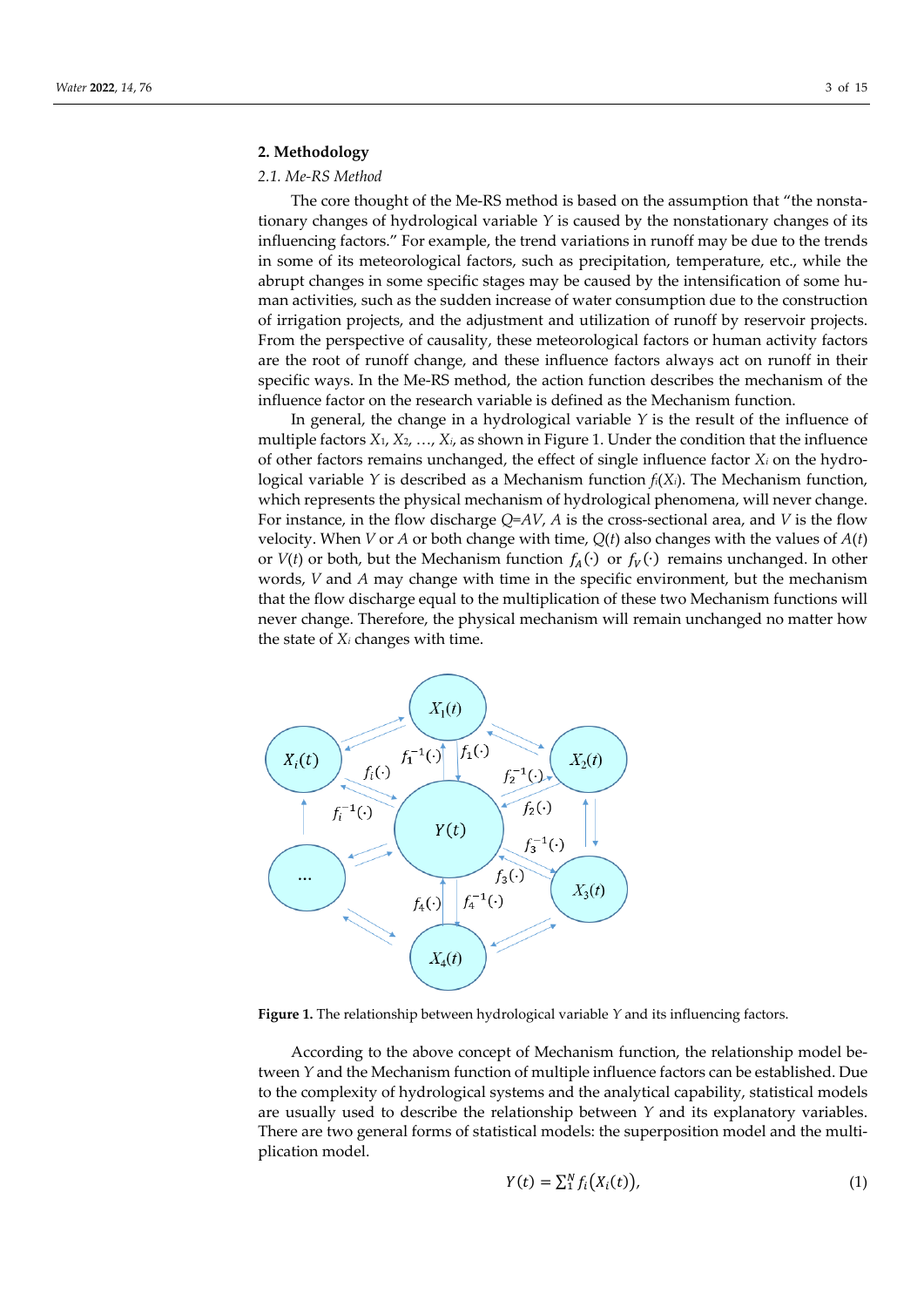# **2. Methodology**

# *2.1. Me‐RS Method*

The core thought of the Me-RS method is based on the assumption that "the nonstationary changes of hydrological variable *Y* is caused by the nonstationary changes of its influencing factors." For example, the trend variations in runoff may be due to the trends in some of its meteorological factors, such as precipitation, temperature, etc., while the abrupt changes in some specific stages may be caused by the intensification of some human activities, such as the sudden increase of water consumption due to the construction of irrigation projects, and the adjustment and utilization of runoff by reservoir projects. From the perspective of causality, these meteorological factors or human activity factors are the root of runoff change, and these influence factors always act on runoff in their specific ways. In the Me‐RS method, the action function describes the mechanism of the influence factor on the research variable is defined as the Mechanism function.

In general, the change in a hydrological variable *Y* is the result of the influence of multiple factors *X*1, *X*2, …, *Xi*, as shown in Figure 1. Under the condition that the influence of other factors remains unchanged, the effect of single influence factor *Xi* on the hydro‐ logical variable *Y* is described as a Mechanism function *fi*(*Xi*). The Mechanism function, which represents the physical mechanism of hydrological phenomena, will never change. For instance, in the flow discharge *Q*=*AV*, *A* is the cross‐sectional area, and *V* is the flow velocity. When *V* or *A* or both change with time, *Q*(*t*) also changes with the values of *A*(*t*) or *V*(*t*) or both, but the Mechanism function  $f_A(\cdot)$  or  $f_V(\cdot)$  remains unchanged. In other words, *V* and *A* may change with time in the specific environment, but the mechanism that the flow discharge equal to the multiplication of these two Mechanism functions will never change. Therefore, the physical mechanism will remain unchanged no matter how the state of *Xi* changes with time.



**Figure 1.** The relationship between hydrological variable *Y* and its influencing factors.

According to the above concept of Mechanism function, the relationship model be‐ tween *Y* and the Mechanism function of multiple influence factors can be established. Due to the complexity of hydrological systems and the analytical capability, statistical models are usually used to describe the relationship between *Y* and its explanatory variables. There are two general forms of statistical models: the superposition model and the multiplication model.

$$
Y(t) = \sum_{i=1}^{N} f_i(X_i(t)), \qquad (1)
$$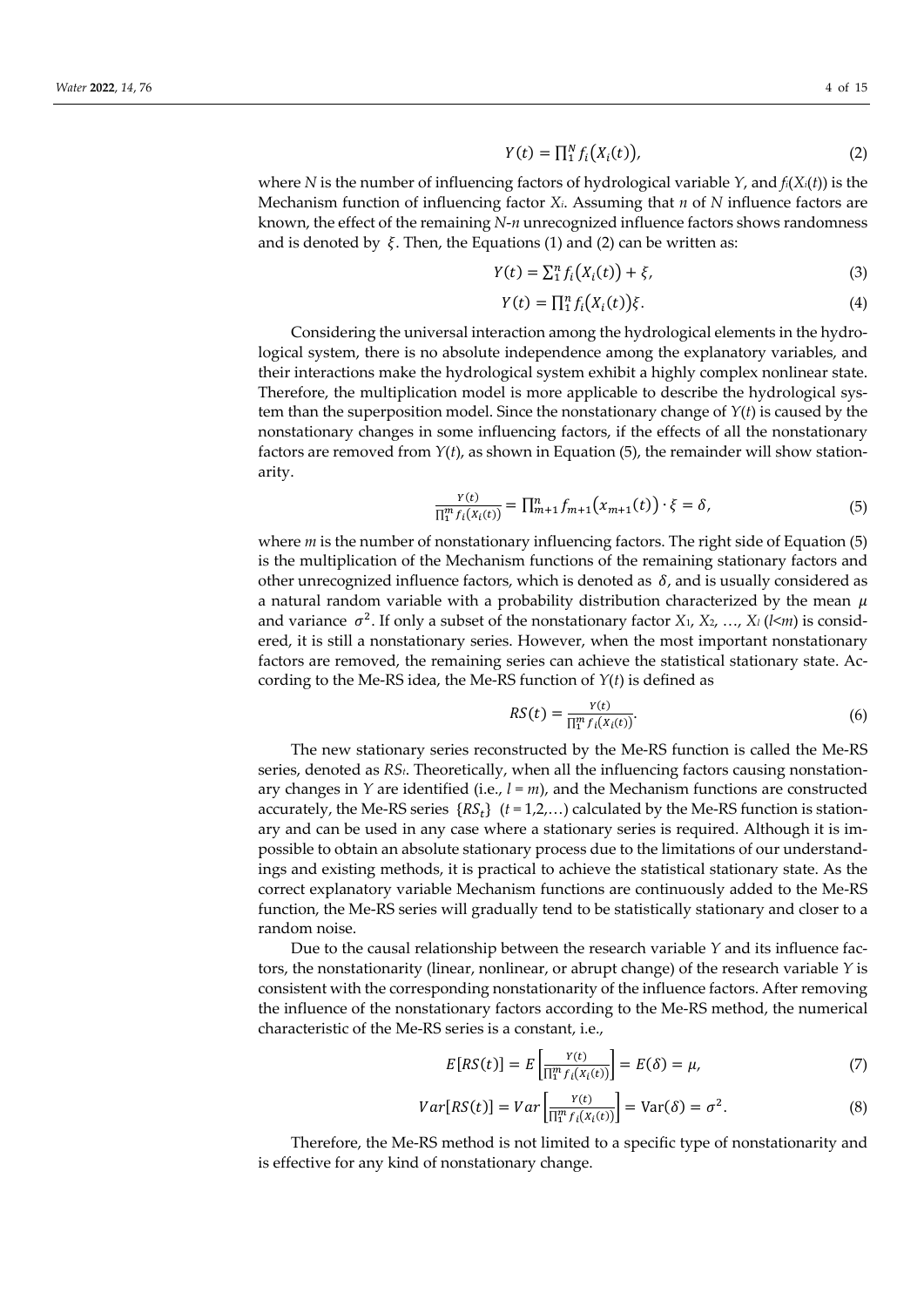$$
Y(t) = \prod_{1}^{N} f_i(X_i(t)),
$$
\n(2)

where *N* is the number of influencing factors of hydrological variable  $Y$ , and  $f_i(X_i(t))$  is the Mechanism function of influencing factor *Xi*. Assuming that *n* of *N* influence factors are known, the effect of the remaining *N*-*n* unrecognized influence factors shows randomness and is denoted by  $\xi$ . Then, the Equations (1) and (2) can be written as:

$$
Y(t) = \sum_{i=1}^{n} f_i(X_i(t)) + \xi,
$$
\n(3)

$$
Y(t) = \prod_{i=1}^{n} f_i(X_i(t))\xi.
$$
 (4)

Considering the universal interaction among the hydrological elements in the hydro‐ logical system, there is no absolute independence among the explanatory variables, and their interactions make the hydrological system exhibit a highly complex nonlinear state. Therefore, the multiplication model is more applicable to describe the hydrological sys‐ tem than the superposition model. Since the nonstationary change of *Y*(*t*) is caused by the nonstationary changes in some influencing factors, if the effects of all the nonstationary factors are removed from  $Y(t)$ , as shown in Equation (5), the remainder will show stationarity.

$$
\frac{Y(t)}{\prod_{1}^{m} f_i(x_i(t))} = \prod_{m+1}^{n} f_{m+1}(x_{m+1}(t)) \cdot \xi = \delta,
$$
\n(5)

where *m* is the number of nonstationary influencing factors. The right side of Equation (5) is the multiplication of the Mechanism functions of the remaining stationary factors and other unrecognized influence factors, which is denoted as  $\delta$ , and is usually considered as a natural random variable with a probability distribution characterized by the mean  $\mu$ and variance  $\sigma^2$ . If only a subset of the nonstationary factor *X*<sub>1</sub>, *X*<sub>2</sub>, ..., *X*<sub>*l*</sub> ( $k$ *m*) is considered, it is still a nonstationary series. However, when the most important nonstationary factors are removed, the remaining series can achieve the statistical stationary state. According to the Me‐RS idea, the Me‐RS function of *Y*(*t*) is defined as

$$
RS(t) = \frac{Y(t)}{\prod_{1}^{m} f_i(X_i(t))}.
$$
\n
$$
(6)
$$

The new stationary series reconstructed by the Me‐RS function is called the Me‐RS series, denoted as *RSt*. Theoretically, when all the influencing factors causing nonstationary changes in *Y* are identified (i.e., *l* = *m*), and the Mechanism functions are constructed accurately, the Me-RS series  $\{RS_t\}$  ( $t = 1,2,...$ ) calculated by the Me-RS function is stationary and can be used in any case where a stationary series is required. Although it is im‐ possible to obtain an absolute stationary process due to the limitations of our understand‐ ings and existing methods, it is practical to achieve the statistical stationary state. As the correct explanatory variable Mechanism functions are continuously added to the Me‐RS function, the Me‐RS series will gradually tend to be statistically stationary and closer to a random noise.

Due to the causal relationship between the research variable *Y* and its influence fac‐ tors, the nonstationarity (linear, nonlinear, or abrupt change) of the research variable *Y* is consistent with the corresponding nonstationarity of the influence factors. After removing the influence of the nonstationary factors according to the Me‐RS method, the numerical characteristic of the Me‐RS series is a constant, i.e.,

$$
E[RS(t)] = E\left[\frac{Y(t)}{\prod_{i=1}^{m} f_i(X_i(t))}\right] = E(\delta) = \mu,
$$
\n(7)

$$
Var[RS(t)] = Var\left[\frac{Y(t)}{\prod_{i=1}^{m} f_i(X_i(t))}\right] = Var(\delta) = \sigma^2.
$$
\n(8)

Therefore, the Me‐RS method is not limited to a specific type of nonstationarity and is effective for any kind of nonstationary change.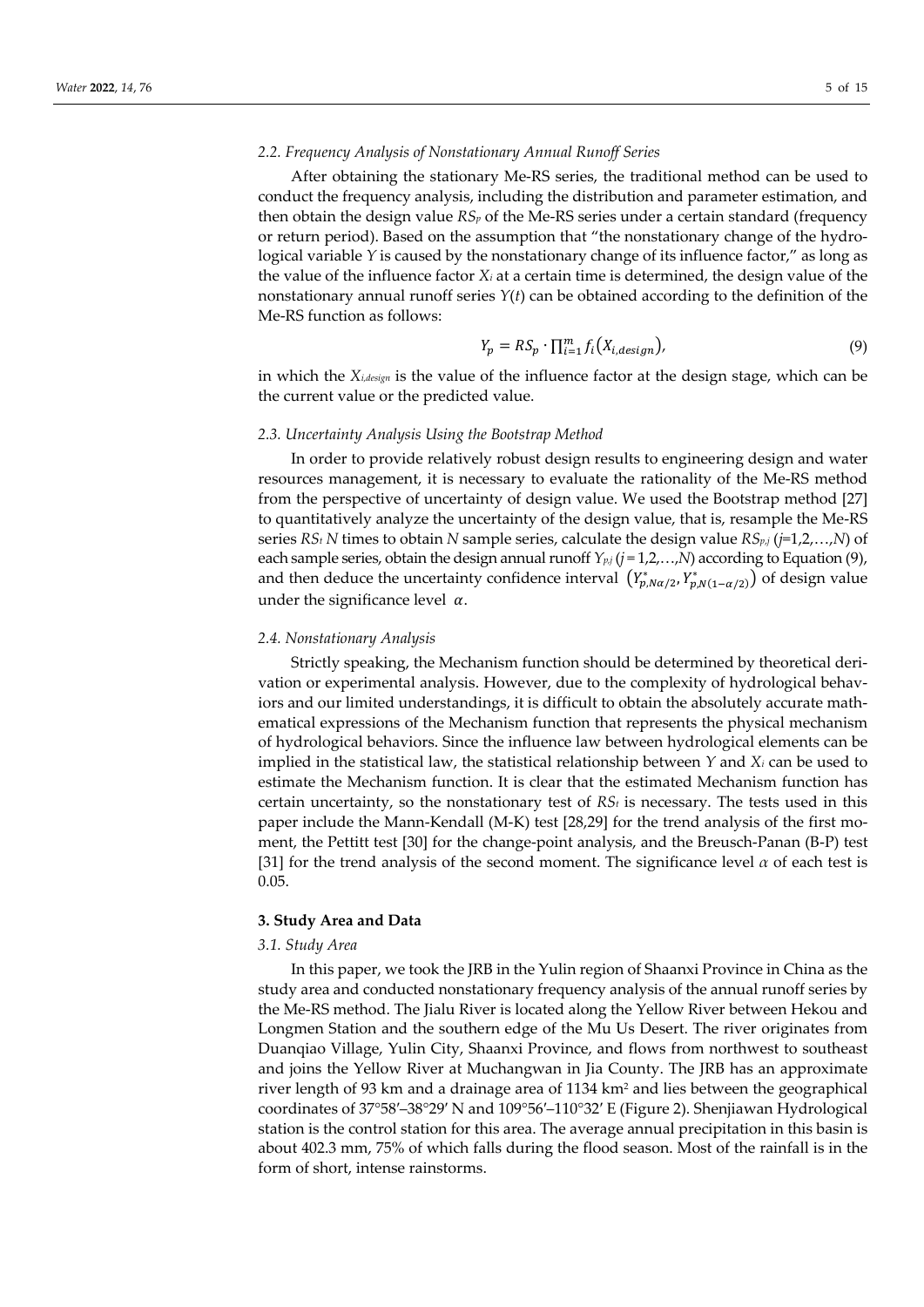## *2.2. Frequency Analysis of Nonstationary Annual Runoff Series*

After obtaining the stationary Me‐RS series, the traditional method can be used to conduct the frequency analysis, including the distribution and parameter estimation, and then obtain the design value *RSp* of the Me‐RS series under a certain standard (frequency or return period). Based on the assumption that "the nonstationary change of the hydrological variable *Y* is caused by the nonstationary change of its influence factor," as long as the value of the influence factor  $X_i$  at a certain time is determined, the design value of the nonstationary annual runoff series *Y*(*t*) can be obtained according to the definition of the Me‐RS function as follows:

$$
Y_p = RS_p \cdot \prod_{i=1}^m f_i(X_{i, design}), \tag{9}
$$

in which the *Xi,design* is the value of the influence factor at the design stage, which can be the current value or the predicted value.

# *2.3. Uncertainty Analysis Using the Bootstrap Method*

In order to provide relatively robust design results to engineering design and water resources management, it is necessary to evaluate the rationality of the Me‐RS method from the perspective of uncertainty of design value. We used the Bootstrap method [27] to quantitatively analyze the uncertainty of the design value, that is, resample the Me‐RS series *RSt N* times to obtain *N* sample series, calculate the design value *RSp*,*<sup>j</sup>* (*j*=1,2,…,*N*) of each sample series, obtain the design annual runoff  $Y_{pj}$  ( $j = 1,2,...,N$ ) according to Equation (9), and then deduce the uncertainty confidence interval  $(Y^*_{p,N\alpha/2},Y^*_{p,N(1-\alpha/2)})$  of design value under the significance level  $\alpha$ .

#### *2.4. Nonstationary Analysis*

Strictly speaking, the Mechanism function should be determined by theoretical deri‐ vation or experimental analysis. However, due to the complexity of hydrological behav‐ iors and our limited understandings, it is difficult to obtain the absolutely accurate mathematical expressions of the Mechanism function that represents the physical mechanism of hydrological behaviors. Since the influence law between hydrological elements can be implied in the statistical law, the statistical relationship between *Y* and *Xi* can be used to estimate the Mechanism function. It is clear that the estimated Mechanism function has certain uncertainty, so the nonstationary test of *RSt* is necessary. The tests used in this paper include the Mann-Kendall (M-K) test [28,29] for the trend analysis of the first moment, the Pettitt test [30] for the change-point analysis, and the Breusch-Panan (B-P) test [31] for the trend analysis of the second moment. The significance level  $\alpha$  of each test is 0.05.

#### **3. Study Area and Data**

# *3.1. Study Area*

In this paper, we took the JRB in the Yulin region of Shaanxi Province in China as the study area and conducted nonstationary frequency analysis of the annual runoff series by the Me‐RS method. The Jialu River is located along the Yellow River between Hekou and Longmen Station and the southern edge of the Mu Us Desert. The river originates from Duanqiao Village, Yulin City, Shaanxi Province, and flows from northwest to southeast and joins the Yellow River at Muchangwan in Jia County. The JRB has an approximate river length of 93 km and a drainage area of 1134 km2 and lies between the geographical coordinates of 37°58′–38°29′ N and 109°56′–110°32′ E (Figure 2). Shenjiawan Hydrological station is the control station for this area. The average annual precipitation in this basin is about 402.3 mm, 75% of which falls during the flood season. Most of the rainfall is in the form of short, intense rainstorms.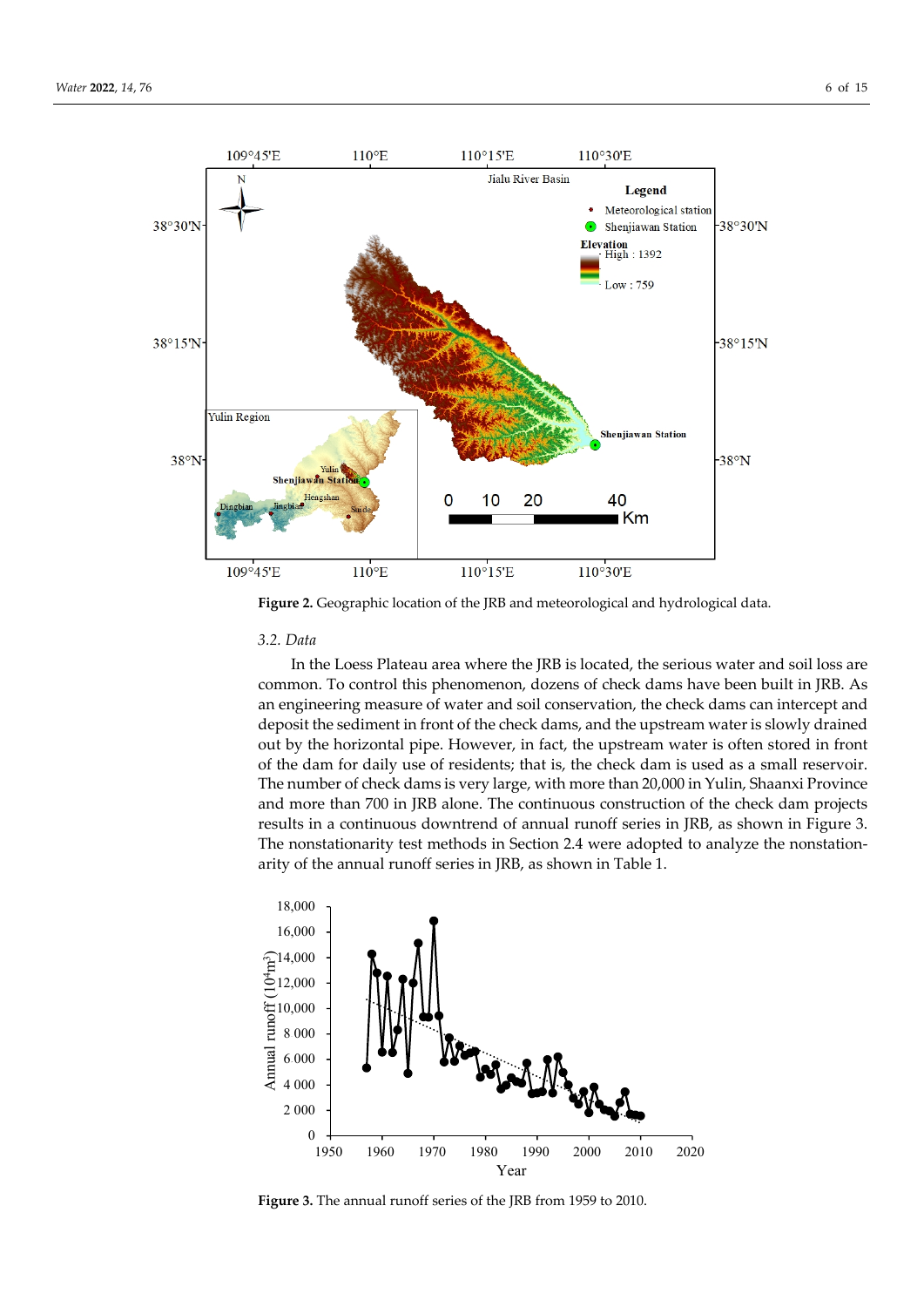

**Figure 2.** Geographic location of the JRB and meteorological and hydrological data.

#### *3.2. Data*

In the Loess Plateau area where the JRB is located, the serious water and soil loss are common. To control this phenomenon, dozens of check dams have been built in JRB. As an engineering measure of water and soil conservation, the check dams can intercept and deposit the sediment in front of the check dams, and the upstream water is slowly drained out by the horizontal pipe. However, in fact, the upstream water is often stored in front of the dam for daily use of residents; that is, the check dam is used as a small reservoir. The number of check dams is very large, with more than 20,000 in Yulin, Shaanxi Province and more than 700 in JRB alone. The continuous construction of the check dam projects results in a continuous downtrend of annual runoff series in JRB, as shown in Figure 3. The nonstationarity test methods in Section 2.4 were adopted to analyze the nonstation‐ arity of the annual runoff series in JRB, as shown in Table 1.



**Figure 3.** The annual runoff series of the JRB from 1959 to 2010.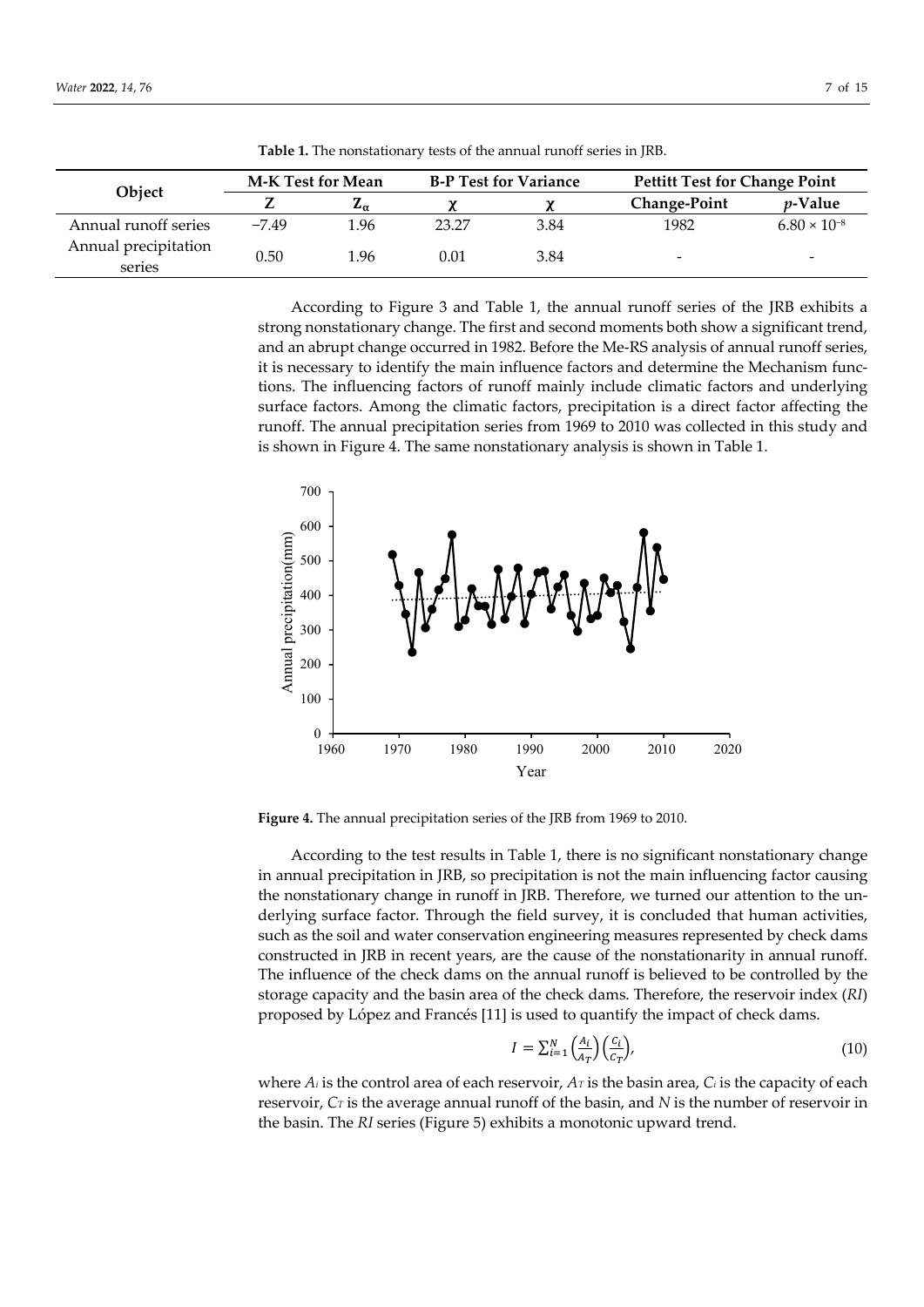| Object                         | <b>M-K Test for Mean</b> |              | <b>B-P Test for Variance</b> |      | <b>Pettitt Test for Change Point</b> |                          |
|--------------------------------|--------------------------|--------------|------------------------------|------|--------------------------------------|--------------------------|
|                                |                          | $L_{\alpha}$ |                              |      | <b>Change-Point</b>                  | <i>v</i> -Value          |
| Annual runoff series           | $-7.49$                  | 1.96         | 23.27                        | 3.84 | 1982                                 | $6.80 \times 10^{-8}$    |
| Annual precipitation<br>series | 0.50                     | 1.96         | 0.01                         | 3.84 | $\overline{\phantom{0}}$             | $\overline{\phantom{0}}$ |

**Table 1.** The nonstationary tests of the annual runoff series in JRB.

According to Figure 3 and Table 1, the annual runoff series of the JRB exhibits a strong nonstationary change. The first and second moments both show a significant trend, and an abrupt change occurred in 1982. Before the Me‐RS analysis of annual runoff series, it is necessary to identify the main influence factors and determine the Mechanism func‐ tions. The influencing factors of runoff mainly include climatic factors and underlying surface factors. Among the climatic factors, precipitation is a direct factor affecting the runoff. The annual precipitation series from 1969 to 2010 was collected in this study and is shown in Figure 4. The same nonstationary analysis is shown in Table 1.



**Figure 4.** The annual precipitation series of the JRB from 1969 to 2010.

According to the test results in Table 1, there is no significant nonstationary change in annual precipitation in JRB, so precipitation is not the main influencing factor causing the nonstationary change in runoff in JRB. Therefore, we turned our attention to the un‐ derlying surface factor. Through the field survey, it is concluded that human activities, such as the soil and water conservation engineering measures represented by check dams constructed in JRB in recent years, are the cause of the nonstationarity in annual runoff. The influence of the check dams on the annual runoff is believed to be controlled by the storage capacity and the basin area of the check dams. Therefore, the reservoir index (*RI*) proposed by López and Francés [11] is used to quantify the impact of check dams.

$$
I = \sum_{i=1}^{N} \left(\frac{A_i}{A_T}\right) \left(\frac{C_i}{C_T}\right),\tag{10}
$$

where *Ai* is the control area of each reservoir, *AT* is the basin area, *Ci* is the capacity of each reservoir, *C<sub>T</sub>* is the average annual runoff of the basin, and *N* is the number of reservoir in the basin. The *RI* series (Figure 5) exhibits a monotonic upward trend.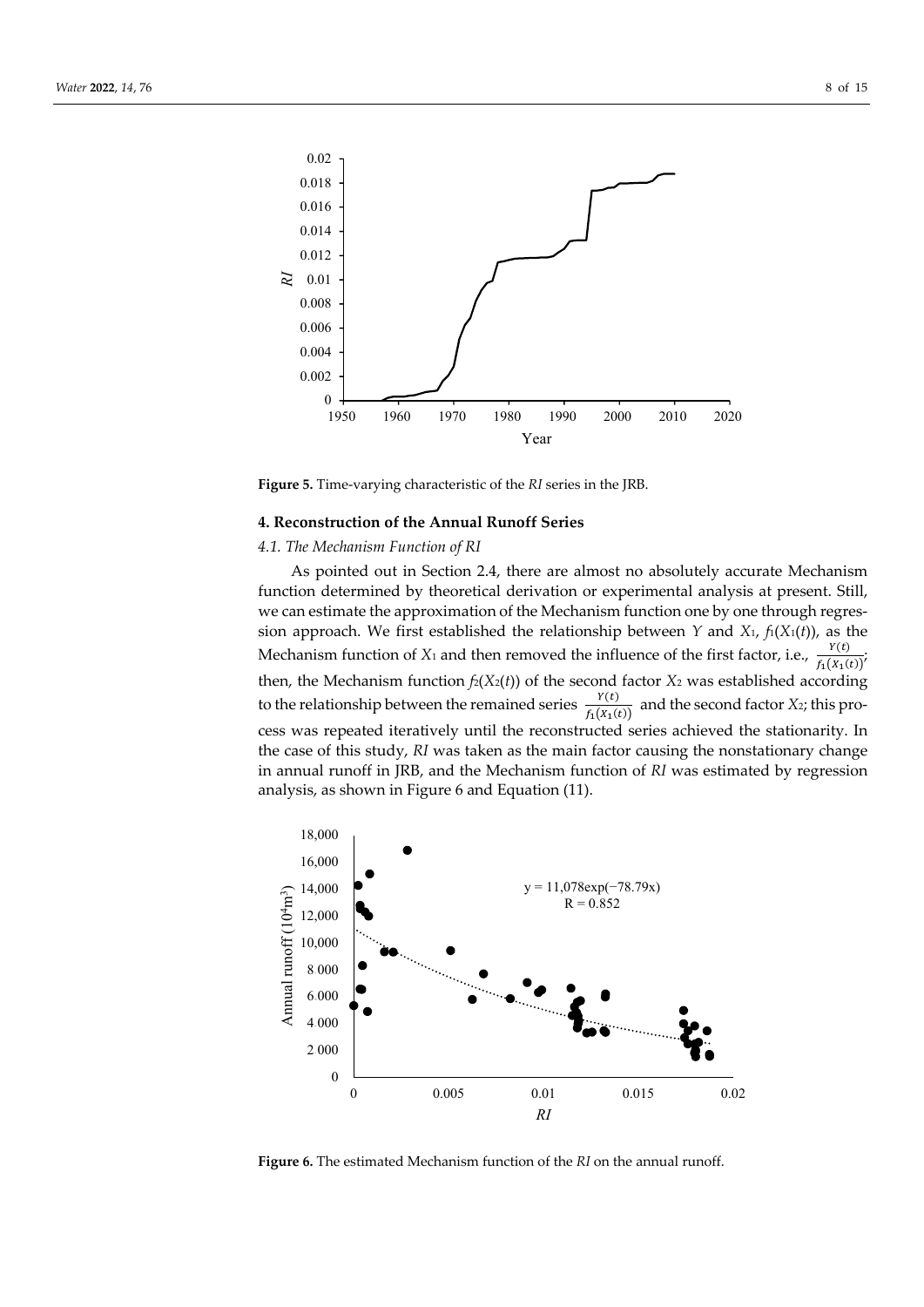

**Figure 5.** Time‐varying characteristic of the *RI* series in the JRB.

## **4. Reconstruction of the Annual Runoff Series**

# *4.1. The Mechanism Function of RI*

As pointed out in Section 2.4, there are almost no absolutely accurate Mechanism function determined by theoretical derivation or experimental analysis at present. Still, we can estimate the approximation of the Mechanism function one by one through regression approach. We first established the relationship between *Y* and *X*1, *f*1(*X*1(*t*)), as the Mechanism function of  $X_1$  and then removed the influence of the first factor, i.e.,  $\frac{Y(t)}{f_1(X_1(t))'}$ then, the Mechanism function  $f_2(X_2(t))$  of the second factor  $X_2$  was established according to the relationship between the remained series  $\frac{Y(t)}{f_1(X_1(t))}$  and the second factor *X*<sub>2</sub>; this process was repeated iteratively until the reconstructed series achieved the stationarity. In the case of this study, *RI* was taken as the main factor causing the nonstationary change in annual runoff in JRB, and the Mechanism function of *RI* was estimated by regression analysis, as shown in Figure 6 and Equation (11).



**Figure 6.** The estimated Mechanism function of the *RI* on the annual runoff.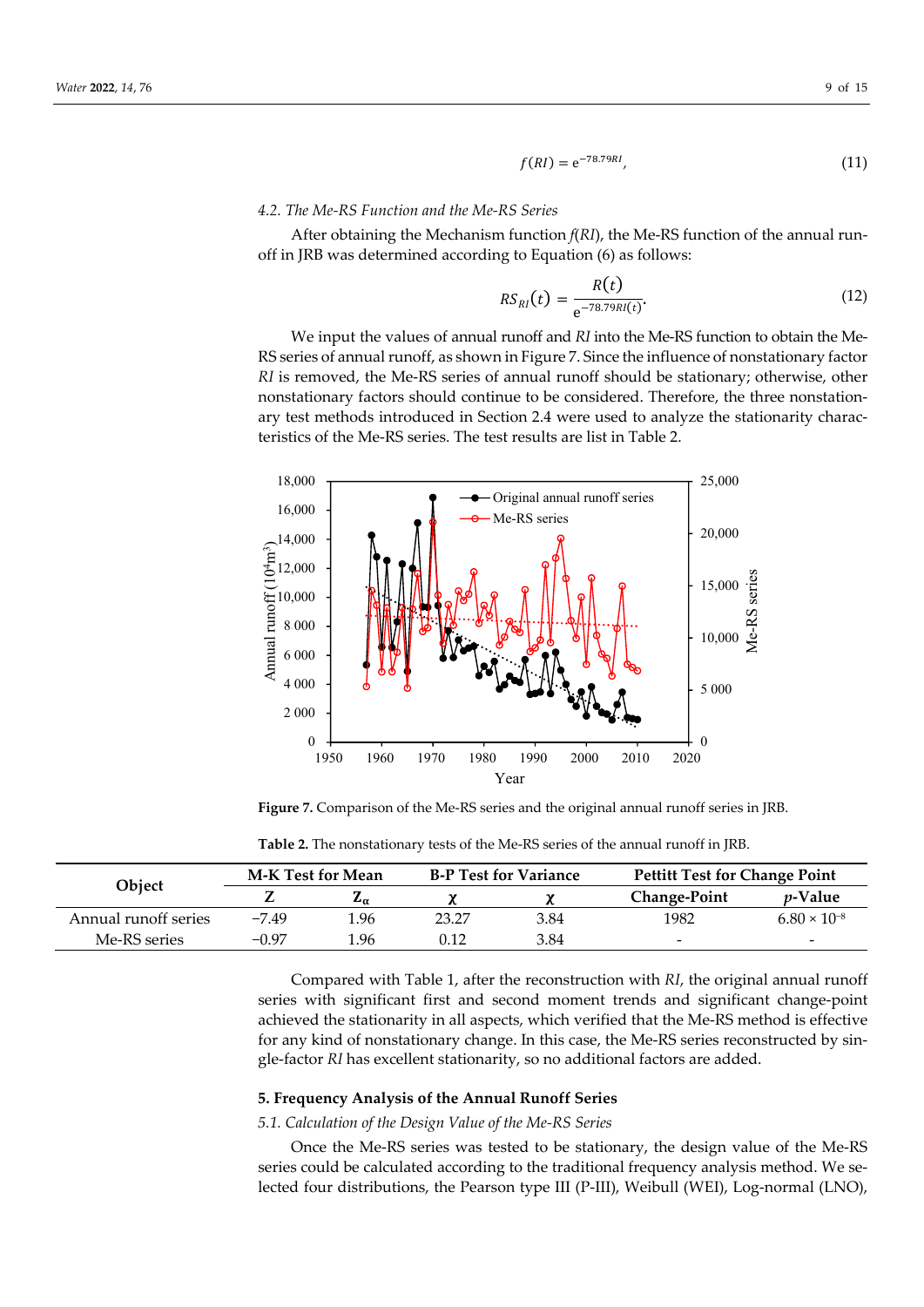$$
f(RI) = e^{-78.79RI},
$$
\n(11)

#### *4.2. The Me‐RS Function and the Me‐RS Series*

After obtaining the Mechanism function *f*(*RI*), the Me‐RS function of the annual run‐ off in JRB was determined according to Equation (6) as follows:

$$
RS_{RI}(t) = \frac{R(t)}{e^{-78.79RI(t)}}.
$$
\n(12)

We input the values of annual runoff and *RI* into the Me-RS function to obtain the Me-RS series of annual runoff, as shown in Figure 7. Since the influence of nonstationary factor *RI* is removed, the Me‐RS series of annual runoff should be stationary; otherwise, other nonstationary factors should continue to be considered. Therefore, the three nonstation‐ ary test methods introduced in Section 2.4 were used to analyze the stationarity charac‐ teristics of the Me‐RS series. The test results are list in Table 2.



**Figure 7.** Comparison of the Me‐RS series and the original annual runoff series in JRB.

| Object               | <b>M-K Test for Mean</b> |      | <b>B-P</b> Test for Variance |      | <b>Pettitt Test for Change Point</b> |                          |
|----------------------|--------------------------|------|------------------------------|------|--------------------------------------|--------------------------|
|                      |                          | 4α   |                              |      | Change-Point                         | <i>v</i> -Value          |
| Annual runoff series | $-7.49$                  | 1.96 | 23.27                        | 3.84 | 1982                                 | $6.80 \times 10^{-8}$    |
| Me-RS series         | $-0.97$                  | 1.96 | 0.12                         | 3.84 | $\overline{\phantom{0}}$             | $\overline{\phantom{0}}$ |

**Table 2.** The nonstationary tests of the Me‐RS series of the annual runoff in JRB.

Compared with Table 1, after the reconstruction with *RI*, the original annual runoff series with significant first and second moment trends and significant change-point achieved the stationarity in all aspects, which verified that the Me‐RS method is effective for any kind of nonstationary change. In this case, the Me‐RS series reconstructed by sin‐ gle‐factor *RI* has excellent stationarity, so no additional factors are added.

# **5. Frequency Analysis of the Annual Runoff Series**

# *5.1. Calculation of the Design Value of the Me‐RS Series*

Once the Me‐RS series was tested to be stationary, the design value of the Me‐RS series could be calculated according to the traditional frequency analysis method. We selected four distributions, the Pearson type III (P-III), Weibull (WEI), Log-normal (LNO),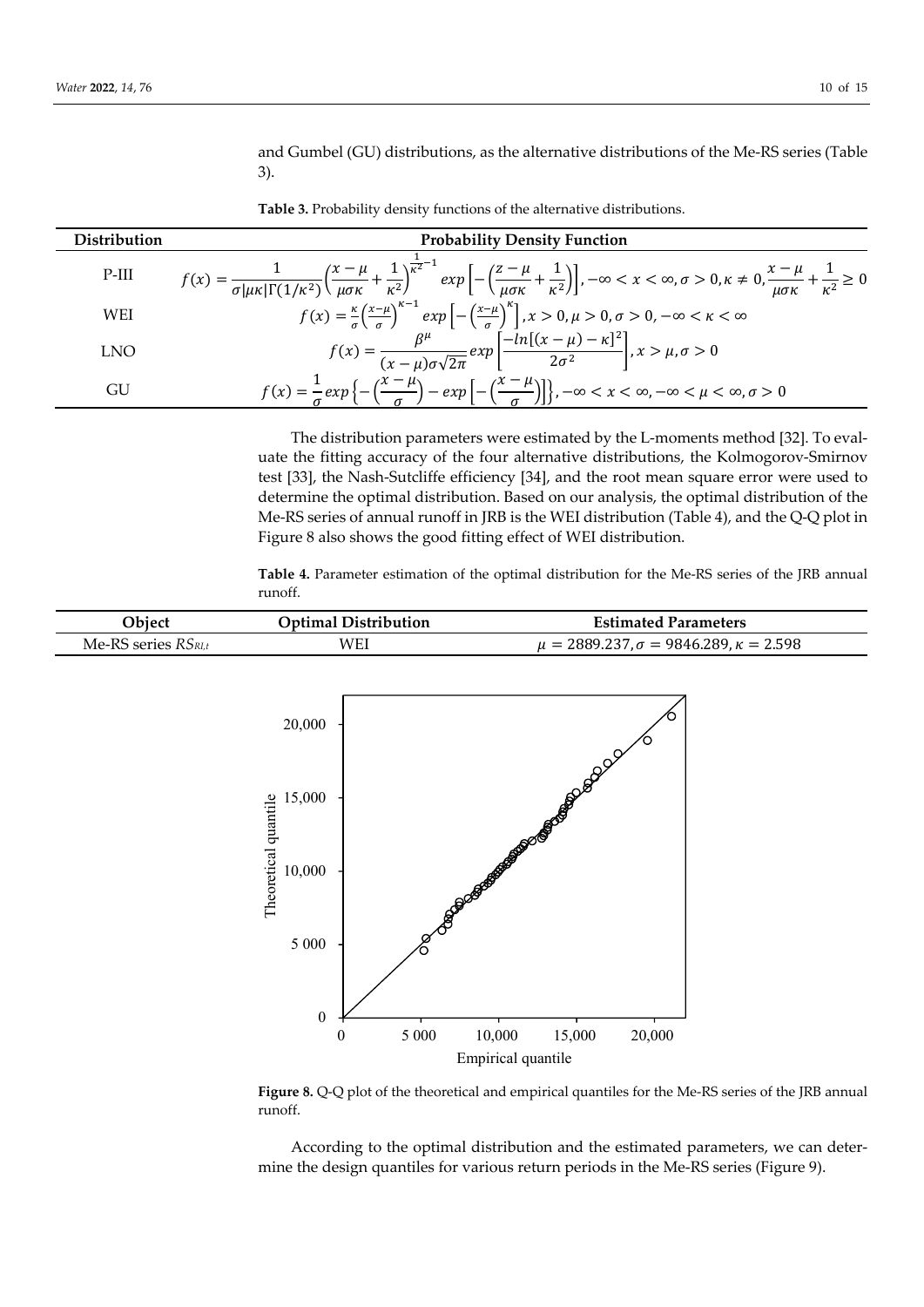**Distribution Probability Density Function** P-III  $f(x) = \frac{1}{\sigma |\mu \kappa| \Gamma(1/\kappa^2)} \left(\frac{x - \mu}{\mu \sigma \kappa}\right)$  $\frac{x-\mu}{\mu\sigma\kappa}+\frac{1}{\kappa^2}$  $\frac{1}{\kappa^2}$ <sup>-1</sup>  $\exp\left[-\left(\frac{z-\mu}{\mu\sigma\kappa}+\frac{1}{\kappa^2}\right)\right], -\infty < x < \infty, \sigma > 0, \kappa \neq 0, \frac{x-\mu}{\mu\sigma\kappa}+\frac{1}{\kappa^2} \geq 0$ WEI  $f(x) = \frac{\kappa}{\sigma} \left(\frac{x-\mu}{\sigma}\right)^{\kappa-1} exp\left[-\left(\frac{x-\mu}{\sigma}\right)^{\kappa}\right], x > 0, \mu > 0, \sigma > 0, -\infty < \kappa < \infty$ LNO  $f(x) = \frac{\beta^{\mu}}{(x - \mu)\sigma\sqrt{2\pi}} exp\left[\frac{-ln[(x - \mu) - \kappa]^2}{2\sigma^2}\right], x > \mu, \sigma > 0$ GU  $f(x) = \frac{1}{\sigma} exp\left\{-\left(\frac{x-\mu}{\sigma}\right) - exp\left[-\left(\frac{x-\mu}{\sigma}\right)\right]\right\}, -\infty < x < \infty, -\infty < \mu < \infty, \sigma > 0$ 

and Gumbel (GU) distributions, as the alternative distributions of the Me‐RS series (Table 3).

#### **Table 3.** Probability density functions of the alternative distributions.

determine the optimal distribution. Based on our analysis, the optimal distribution of the Me‐RS series of annual runoff in JRB is the WEI distribution (Table 4), and the Q‐Q plot in Figure 8 also shows the good fitting effect of WEI distribution.

The distribution parameters were estimated by the L-moments method [32]. To evaluate the fitting accuracy of the four alternative distributions, the Kolmogorov‐Smirnov test [33], the Nash‐Sutcliffe efficiency [34], and the root mean square error were used to

**Table 4.** Parameter estimation of the optimal distribution for the Me‐RS series of the JRB annual runoff.

| .)biect                 | <b>Optimal Distribution</b> | <b>Estimated Parameters</b>                               |
|-------------------------|-----------------------------|-----------------------------------------------------------|
| Me-RS series $RS_{RLL}$ | WEI                         | $\mu = 2889.237$ . $\sigma = 9846.289$ . $\kappa = 2.598$ |



**Figure 8.** Q‐Q plot of the theoretical and empirical quantiles for the Me‐RS series of the JRB annual runoff.

According to the optimal distribution and the estimated parameters, we can deter‐ mine the design quantiles for various return periods in the Me‐RS series (Figure 9).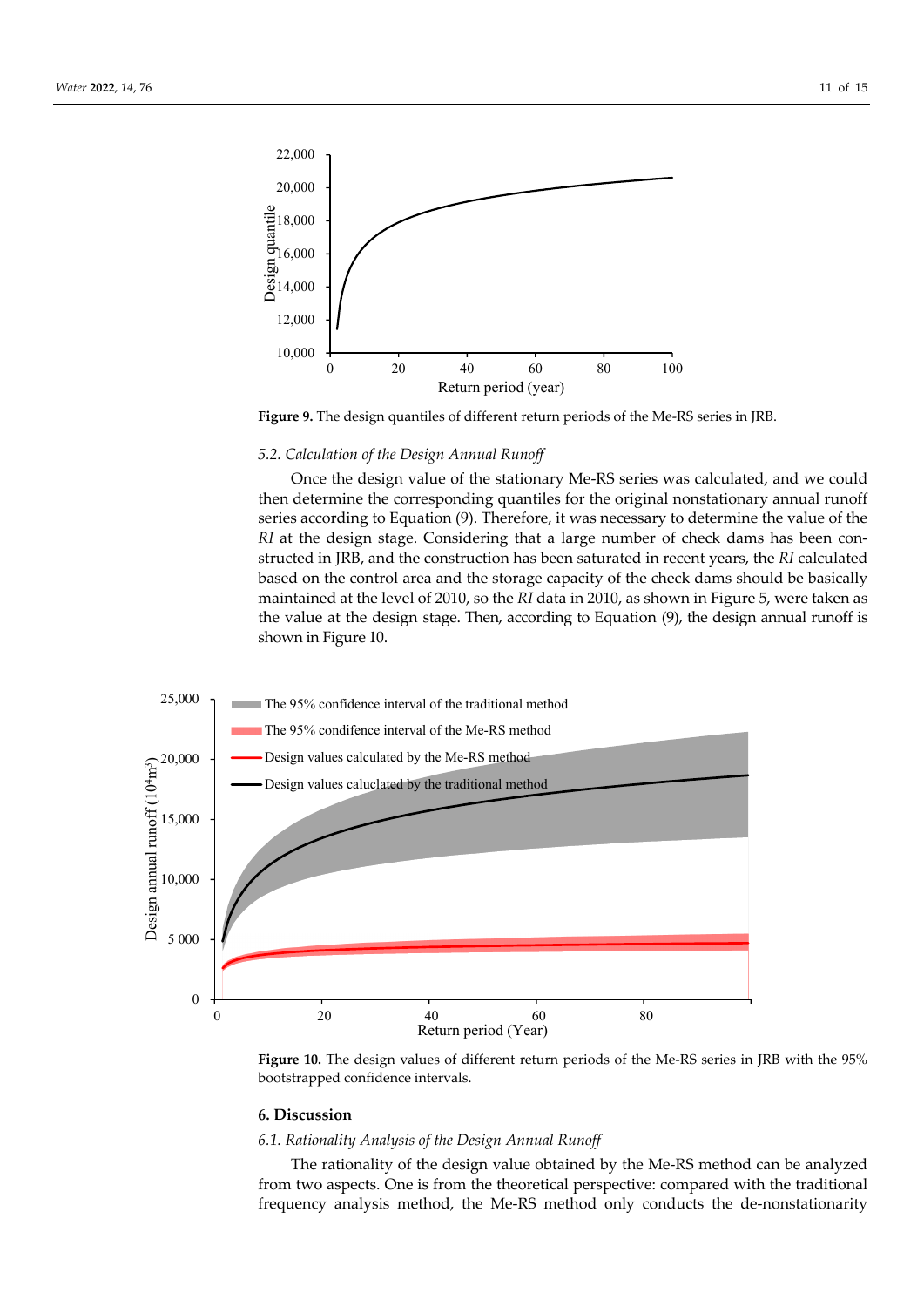

**Figure 9.** The design quantiles of different return periods of the Me‐RS series in JRB.

## *5.2. Calculation of the Design Annual Runoff*

Once the design value of the stationary Me‐RS series was calculated, and we could then determine the corresponding quantiles for the original nonstationary annual runoff series according to Equation (9). Therefore, it was necessary to determine the value of the *RI* at the design stage. Considering that a large number of check dams has been constructed in JRB, and the construction has been saturated in recent years, the *RI* calculated based on the control area and the storage capacity of the check dams should be basically maintained at the level of 2010, so the *RI* data in 2010, as shown in Figure 5, were taken as the value at the design stage. Then, according to Equation (9), the design annual runoff is shown in Figure 10.



**Figure 10.** The design values of different return periods of the Me‐RS series in JRB with the 95% bootstrapped confidence intervals.

# **6. Discussion**

# *6.1. Rationality Analysis of the Design Annual Runoff*

The rationality of the design value obtained by the Me‐RS method can be analyzed from two aspects. One is from the theoretical perspective: compared with the traditional frequency analysis method, the Me‐RS method only conducts the de‐nonstationarity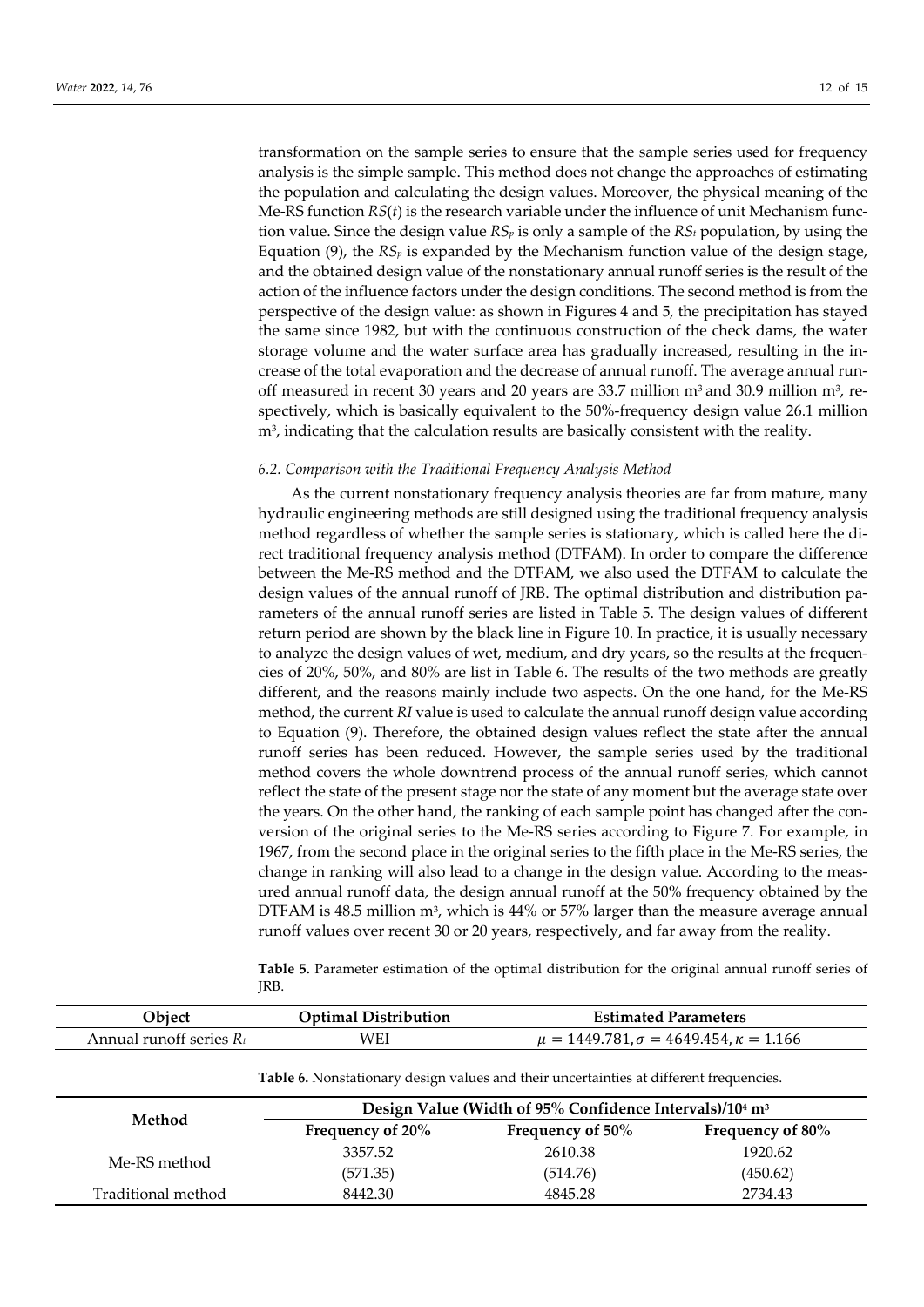transformation on the sample series to ensure that the sample series used for frequency analysis is the simple sample. This method does not change the approaches of estimating the population and calculating the design values. Moreover, the physical meaning of the Me‐RS function *RS*(*t*) is the research variable under the influence of unit Mechanism func‐ tion value. Since the design value  $RS_p$  is only a sample of the  $RS_t$  population, by using the Equation (9), the  $RS_p$  is expanded by the Mechanism function value of the design stage, and the obtained design value of the nonstationary annual runoff series is the result of the action of the influence factors under the design conditions. The second method is from the perspective of the design value: as shown in Figures 4 and 5, the precipitation has stayed the same since 1982, but with the continuous construction of the check dams, the water storage volume and the water surface area has gradually increased, resulting in the in‐ crease of the total evaporation and the decrease of annual runoff. The average annual run‐ off measured in recent 30 years and 20 years are 33.7 million  $m<sup>3</sup>$  and 30.9 million  $m<sup>3</sup>$ , respectively, which is basically equivalent to the 50%-frequency design value 26.1 million m<sup>3</sup>, indicating that the calculation results are basically consistent with the reality.

## *6.2. Comparison with the Traditional Frequency Analysis Method*

As the current nonstationary frequency analysis theories are far from mature, many hydraulic engineering methods are still designed using the traditional frequency analysis method regardless of whether the sample series is stationary, which is called here the direct traditional frequency analysis method (DTFAM). In order to compare the difference between the Me‐RS method and the DTFAM, we also used the DTFAM to calculate the design values of the annual runoff of JRB. The optimal distribution and distribution pa‐ rameters of the annual runoff series are listed in Table 5. The design values of different return period are shown by the black line in Figure 10. In practice, it is usually necessary to analyze the design values of wet, medium, and dry years, so the results at the frequencies of 20%, 50%, and 80% are list in Table 6. The results of the two methods are greatly different, and the reasons mainly include two aspects. On the one hand, for the Me‐RS method, the current *RI* value is used to calculate the annual runoff design value according to Equation (9). Therefore, the obtained design values reflect the state after the annual runoff series has been reduced. However, the sample series used by the traditional method covers the whole downtrend process of the annual runoff series, which cannot reflect the state of the present stage nor the state of any moment but the average state over the years. On the other hand, the ranking of each sample point has changed after the conversion of the original series to the Me‐RS series according to Figure 7. For example, in 1967, from the second place in the original series to the fifth place in the Me‐RS series, the change in ranking will also lead to a change in the design value. According to the meas‐ ured annual runoff data, the design annual runoff at the 50% frequency obtained by the DTFAM is  $48.5$  million m<sup>3</sup>, which is  $44\%$  or  $57\%$  larger than the measure average annual runoff values over recent 30 or 20 years, respectively, and far away from the reality.

**Table 5.** Parameter estimation of the optimal distribution for the original annual runoff series of JRB.

| Ihieci                         | <b>Distribution</b> | Estimated<br>Parameters                             |
|--------------------------------|---------------------|-----------------------------------------------------|
| Annual runoff series $R_{\pm}$ | WEI                 | $\mu = 1449.781, \sigma = 4649.454, \kappa = 1.166$ |

**Table 6.** Nonstationary design values and their uncertainties at different frequencies.

| Method             | Design Value (Width of 95% Confidence Intervals)/104 m <sup>3</sup> |                  |                  |  |  |
|--------------------|---------------------------------------------------------------------|------------------|------------------|--|--|
|                    | Frequency of 20%                                                    | Frequency of 50% | Frequency of 80% |  |  |
| Me-RS method       | 3357.52                                                             | 2610.38          | 1920.62          |  |  |
|                    | (571.35)                                                            | (514.76)         | (450.62)         |  |  |
| Traditional method | 8442.30                                                             | 4845.28          | 2734.43          |  |  |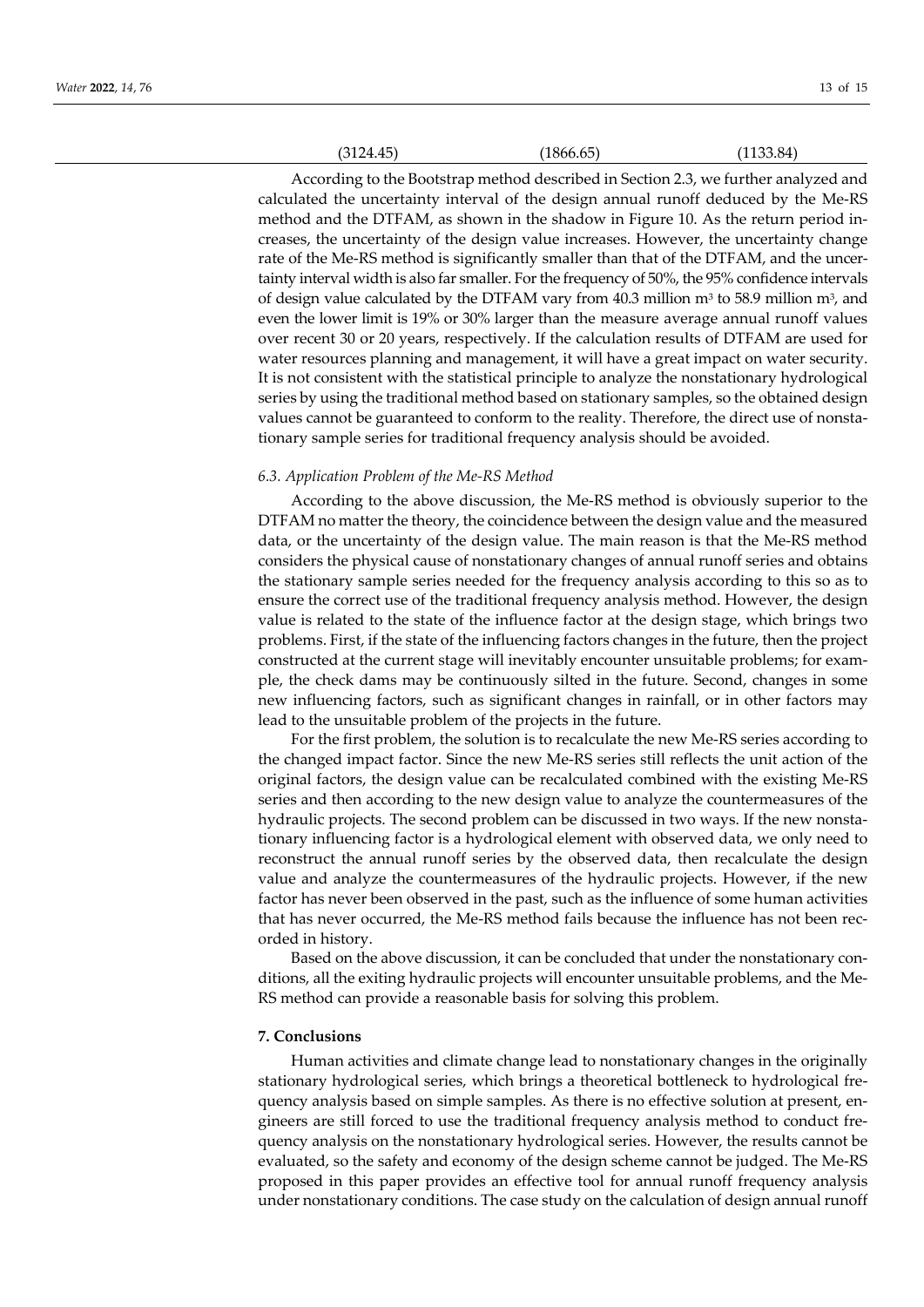According to the Bootstrap method described in Section 2.3, we further analyzed and calculated the uncertainty interval of the design annual runoff deduced by the Me‐RS method and the DTFAM, as shown in the shadow in Figure 10. As the return period in‐ creases, the uncertainty of the design value increases. However, the uncertainty change rate of the Me-RS method is significantly smaller than that of the DTFAM, and the uncertainty interval width is also far smaller. Forthe frequency of 50%, the 95% confidence intervals of design value calculated by the DTFAM vary from 40.3 million  $m^3$  to 58.9 million  $m^3$ , and even the lower limit is 19% or 30% larger than the measure average annual runoff values over recent 30 or 20 years, respectively. If the calculation results of DTFAM are used for water resources planning and management, it will have a great impact on water security. It is not consistent with the statistical principle to analyze the nonstationary hydrological series by using the traditional method based on stationary samples, so the obtained design values cannot be guaranteed to conform to the reality. Therefore, the direct use of nonsta‐ tionary sample series for traditional frequency analysis should be avoided.

#### *6.3. Application Problem of the Me‐RS Method*

According to the above discussion, the Me‐RS method is obviously superior to the DTFAM no matter the theory, the coincidence between the design value and the measured data, or the uncertainty of the design value. The main reason is that the Me‐RS method considers the physical cause of nonstationary changes of annual runoff series and obtains the stationary sample series needed for the frequency analysis according to this so as to ensure the correct use of the traditional frequency analysis method. However, the design value is related to the state of the influence factor at the design stage, which brings two problems. First, if the state of the influencing factors changes in the future, then the project constructed at the current stage will inevitably encounter unsuitable problems; for exam‐ ple, the check dams may be continuously silted in the future. Second, changes in some new influencing factors, such as significant changes in rainfall, or in other factors may lead to the unsuitable problem of the projects in the future.

For the first problem, the solution is to recalculate the new Me‐RS series according to the changed impact factor. Since the new Me‐RS series still reflects the unit action of the original factors, the design value can be recalculated combined with the existing Me‐RS series and then according to the new design value to analyze the countermeasures of the hydraulic projects. The second problem can be discussed in two ways. If the new nonstationary influencing factor is a hydrological element with observed data, we only need to reconstruct the annual runoff series by the observed data, then recalculate the design value and analyze the countermeasures of the hydraulic projects. However, if the new factor has never been observed in the past, such as the influence of some human activities that has never occurred, the Me-RS method fails because the influence has not been recorded in history.

Based on the above discussion, it can be concluded that under the nonstationary conditions, all the exiting hydraulic projects will encounter unsuitable problems, and the Me‐ RS method can provide a reasonable basis for solving this problem.

# **7. Conclusions**

Human activities and climate change lead to nonstationary changes in the originally stationary hydrological series, which brings a theoretical bottleneck to hydrological fre‐ quency analysis based on simple samples. As there is no effective solution at present, engineers are still forced to use the traditional frequency analysis method to conduct fre‐ quency analysis on the nonstationary hydrological series. However, the results cannot be evaluated, so the safety and economy of the design scheme cannot be judged. The Me‐RS proposed in this paper provides an effective tool for annual runoff frequency analysis under nonstationary conditions. The case study on the calculation of design annual runoff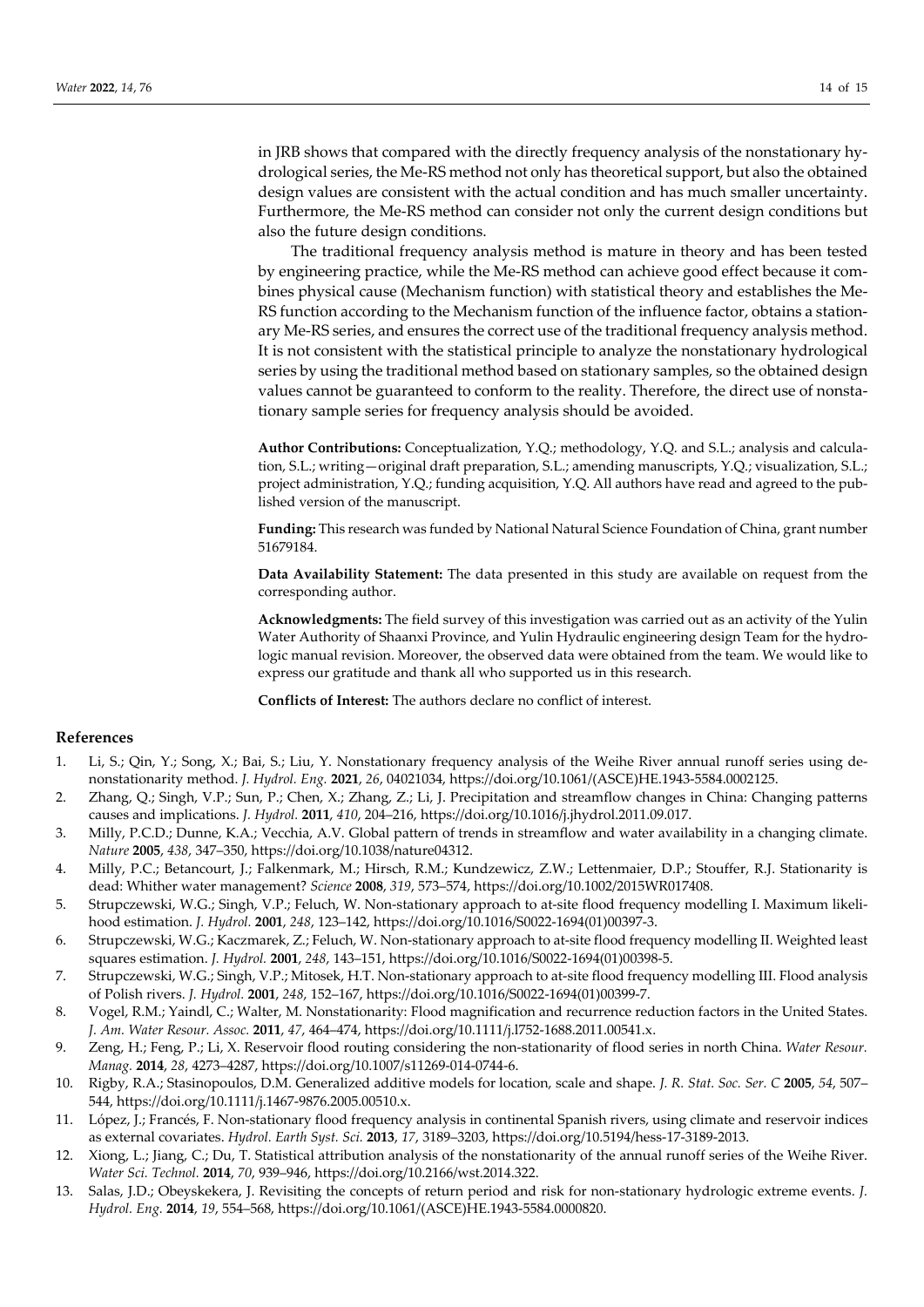in JRB shows that compared with the directly frequency analysis of the nonstationary hy‐ drological series, the Me‐RS method not only has theoretical support, but also the obtained design values are consistent with the actual condition and has much smaller uncertainty. Furthermore, the Me‐RS method can consider not only the current design conditions but also the future design conditions.

The traditional frequency analysis method is mature in theory and has been tested by engineering practice, while the Me-RS method can achieve good effect because it combines physical cause (Mechanism function) with statistical theory and establishes the Me‐ RS function according to the Mechanism function of the influence factor, obtains a station– ary Me‐RS series, and ensures the correct use of the traditional frequency analysis method. It is not consistent with the statistical principle to analyze the nonstationary hydrological series by using the traditional method based on stationary samples, so the obtained design values cannot be guaranteed to conform to the reality. Therefore, the direct use of nonsta‐ tionary sample series for frequency analysis should be avoided.

**Author Contributions:** Conceptualization, Y.Q.; methodology, Y.Q. and S.L.; analysis and calcula‐ tion, S.L.; writing—original draft preparation, S.L.; amending manuscripts, Y.Q.; visualization, S.L.; project administration, Y.Q.; funding acquisition, Y.Q. All authors have read and agreed to the published version of the manuscript.

**Funding:** This research was funded by National Natural Science Foundation of China, grant number 51679184.

**Data Availability Statement:** The data presented in this study are available on request from the corresponding author.

**Acknowledgments:** The field survey of this investigation was carried out as an activity of the Yulin Water Authority of Shaanxi Province, and Yulin Hydraulic engineering design Team for the hydrologic manual revision. Moreover, the observed data were obtained from the team. We would like to express our gratitude and thank all who supported us in this research.

**Conflicts of Interest:** The authors declare no conflict of interest.

# **References**

- 1. Li, S.; Qin, Y.; Song, X.; Bai, S.; Liu, Y. Nonstationary frequency analysis of the Weihe River annual runoff series using de‐ nonstationarity method. *J. Hydrol. Eng.* **2021**, *26*, 04021034, https://doi.org/10.1061/(ASCE)HE.1943‐5584.0002125.
- 2. Zhang, Q.; Singh, V.P.; Sun, P.; Chen, X.; Zhang, Z.; Li, J. Precipitation and streamflow changes in China: Changing patterns causes and implications. *J. Hydrol.* **2011**, *410*, 204–216, https://doi.org/10.1016/j.jhydrol.2011.09.017.
- 3. Milly, P.C.D.; Dunne, K.A.; Vecchia, A.V. Global pattern of trends in streamflow and water availability in a changing climate. *Nature* **2005**, *438*, 347–350, https://doi.org/10.1038/nature04312.
- 4. Milly, P.C.; Betancourt, J.; Falkenmark, M.; Hirsch, R.M.; Kundzewicz, Z.W.; Lettenmaier, D.P.; Stouffer, R.J. Stationarity is dead: Whither water management? *Science* **2008**, *319*, 573–574, https://doi.org/10.1002/2015WR017408.
- 5. Strupczewski, W.G.; Singh, V.P.; Feluch, W. Non-stationary approach to at-site flood frequency modelling I. Maximum likelihood estimation. *J. Hydrol.* **2001**, *248*, 123–142, https://doi.org/10.1016/S0022‐1694(01)00397‐3.
- 6. Strupczewski, W.G.; Kaczmarek, Z.; Feluch, W. Non‐stationary approach to at‐site flood frequency modelling II. Weighted least squares estimation. *J. Hydrol.* **2001**, *248*, 143–151, https://doi.org/10.1016/S0022‐1694(01)00398‐5.
- 7. Strupczewski, W.G.; Singh, V.P.; Mitosek, H.T. Non-stationary approach to at-site flood frequency modelling III. Flood analysis of Polish rivers. *J. Hydrol.* **2001**, *248*, 152–167, https://doi.org/10.1016/S0022‐1694(01)00399‐7.
- 8. Vogel, R.M.; Yaindl, C.; Walter, M. Nonstationarity: Flood magnification and recurrence reduction factors in the United States. *J. Am. Water Resour. Assoc.* **2011**, *47*, 464–474, https://doi.org/10.1111/j.l752‐1688.2011.00541.x.
- 9. Zeng, H.; Feng, P.; Li, X. Reservoir flood routing considering the non‐stationarity of flood series in north China. *Water Resour. Manag.* **2014**, *28*, 4273–4287, https://doi.org/10.1007/s11269‐014‐0744‐6.
- 10. Rigby, R.A.; Stasinopoulos, D.M. Generalized additive models for location, scale and shape. *J. R. Stat. Soc. Ser. C* **2005**, *54*, 507– 544, https://doi.org/10.1111/j.1467‐9876.2005.00510.x.
- 11. López, J.; Francés, F. Non‐stationary flood frequency analysis in continental Spanish rivers, using climate and reservoir indices as external covariates. *Hydrol. Earth Syst. Sci.* **2013**, *17*, 3189–3203, https://doi.org/10.5194/hess‐17‐3189‐2013.
- 12. Xiong, L.; Jiang, C.; Du, T. Statistical attribution analysis of the nonstationarity of the annual runoff series of the Weihe River. *Water Sci. Technol.* **2014**, *70*, 939–946, https://doi.org/10.2166/wst.2014.322.
- 13. Salas, J.D.; Obeyskekera, J. Revisiting the concepts of return period and risk for non‐stationary hydrologic extreme events. *J. Hydrol. Eng.* **2014**, *19*, 554–568, https://doi.org/10.1061/(ASCE)HE.1943‐5584.0000820.